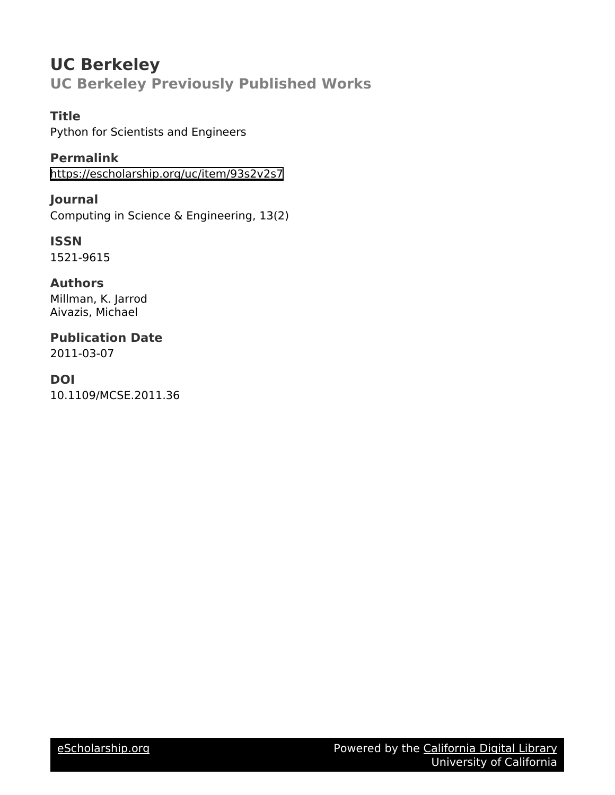## **UC Berkeley UC Berkeley Previously Published Works**

## **Title**

Python for Scientists and Engineers

**Permalink** <https://escholarship.org/uc/item/93s2v2s7>

**Journal** Computing in Science & Engineering, 13(2)

**ISSN** 1521-9615

**Authors** Millman, K. Jarrod Aivazis, Michael

**Publication Date** 2011-03-07

# **DOI**

10.1109/MCSE.2011.36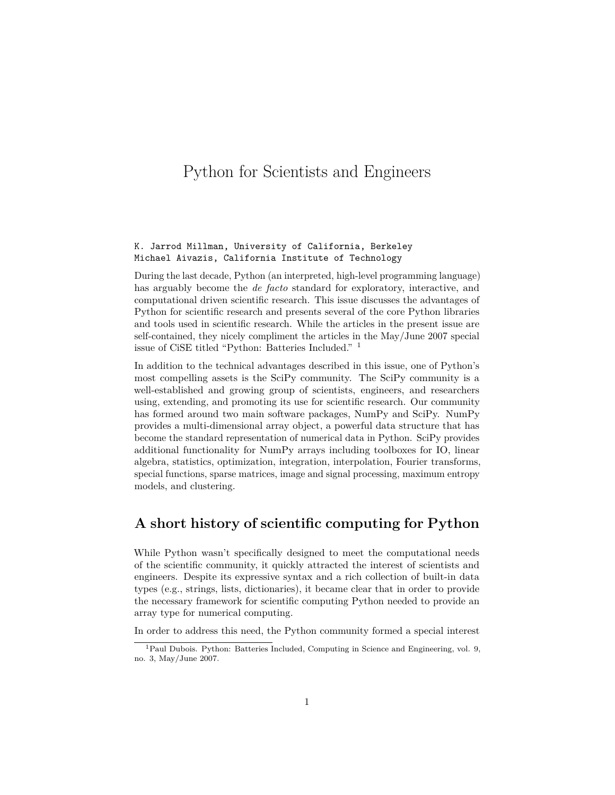## Python for Scientists and Engineers

#### K. Jarrod Millman, University of California, Berkeley Michael Aivazis, California Institute of Technology

During the last decade, Python (an interpreted, high-level programming language) has arguably become the *de facto* standard for exploratory, interactive, and computational driven scientific research. This issue discusses the advantages of Python for scientific research and presents several of the core Python libraries and tools used in scientific research. While the articles in the present issue are self-contained, they nicely compliment the articles in the May/June 2007 special issue of CiSE titled "Python: Batteries Included." [1](#page-1-0)

In addition to the technical advantages described in this issue, one of Python's most compelling assets is the SciPy community. The SciPy community is a well-established and growing group of scientists, engineers, and researchers using, extending, and promoting its use for scientific research. Our community has formed around two main software packages, NumPy and SciPy. NumPy provides a multi-dimensional array object, a powerful data structure that has become the standard representation of numerical data in Python. SciPy provides additional functionality for NumPy arrays including toolboxes for IO, linear algebra, statistics, optimization, integration, interpolation, Fourier transforms, special functions, sparse matrices, image and signal processing, maximum entropy models, and clustering.

## **A short history of scientific computing for Python**

While Python wasn't specifically designed to meet the computational needs of the scientific community, it quickly attracted the interest of scientists and engineers. Despite its expressive syntax and a rich collection of built-in data types (e.g., strings, lists, dictionaries), it became clear that in order to provide the necessary framework for scientific computing Python needed to provide an array type for numerical computing.

In order to address this need, the Python community formed a special interest

<span id="page-1-0"></span><sup>&</sup>lt;sup>1</sup>Paul Dubois. Python: Batteries Included, Computing in Science and Engineering, vol. 9, no. 3, May/June 2007.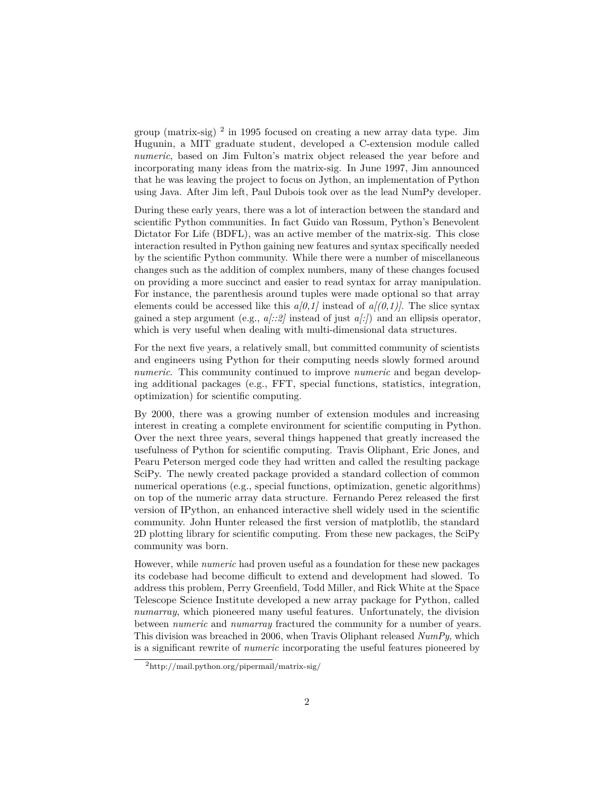group (matrix-sig) [2](#page-2-0) in 1995 focused on creating a new array data type. Jim Hugunin, a MIT graduate student, developed a C-extension module called *numeric*, based on Jim Fulton's matrix object released the year before and incorporating many ideas from the matrix-sig. In June 1997, Jim announced that he was leaving the project to focus on Jython, an implementation of Python using Java. After Jim left, Paul Dubois took over as the lead NumPy developer.

During these early years, there was a lot of interaction between the standard and scientific Python communities. In fact Guido van Rossum, Python's Benevolent Dictator For Life (BDFL), was an active member of the matrix-sig. This close interaction resulted in Python gaining new features and syntax specifically needed by the scientific Python community. While there were a number of miscellaneous changes such as the addition of complex numbers, many of these changes focused on providing a more succinct and easier to read syntax for array manipulation. For instance, the parenthesis around tuples were made optional so that array elements could be accessed like this  $a(0,1)$  instead of  $a/(0,1)$ . The slice syntax gained a step argument (e.g., *a[::2]* instead of just *a[:]*) and an ellipsis operator, which is very useful when dealing with multi-dimensional data structures.

For the next five years, a relatively small, but committed community of scientists and engineers using Python for their computing needs slowly formed around *numeric*. This community continued to improve *numeric* and began developing additional packages (e.g., FFT, special functions, statistics, integration, optimization) for scientific computing.

By 2000, there was a growing number of extension modules and increasing interest in creating a complete environment for scientific computing in Python. Over the next three years, several things happened that greatly increased the usefulness of Python for scientific computing. Travis Oliphant, Eric Jones, and Pearu Peterson merged code they had written and called the resulting package SciPy. The newly created package provided a standard collection of common numerical operations (e.g., special functions, optimization, genetic algorithms) on top of the numeric array data structure. Fernando Perez released the first version of IPython, an enhanced interactive shell widely used in the scientific community. John Hunter released the first version of matplotlib, the standard 2D plotting library for scientific computing. From these new packages, the SciPy community was born.

However, while *numeric* had proven useful as a foundation for these new packages its codebase had become difficult to extend and development had slowed. To address this problem, Perry Greenfield, Todd Miller, and Rick White at the Space Telescope Science Institute developed a new array package for Python, called *numarray*, which pioneered many useful features. Unfortunately, the division between *numeric* and *numarray* fractured the community for a number of years. This division was breached in 2006, when Travis Oliphant released *NumPy*, which is a significant rewrite of *numeric* incorporating the useful features pioneered by

<span id="page-2-0"></span><sup>2</sup><http://mail.python.org/pipermail/matrix-sig/>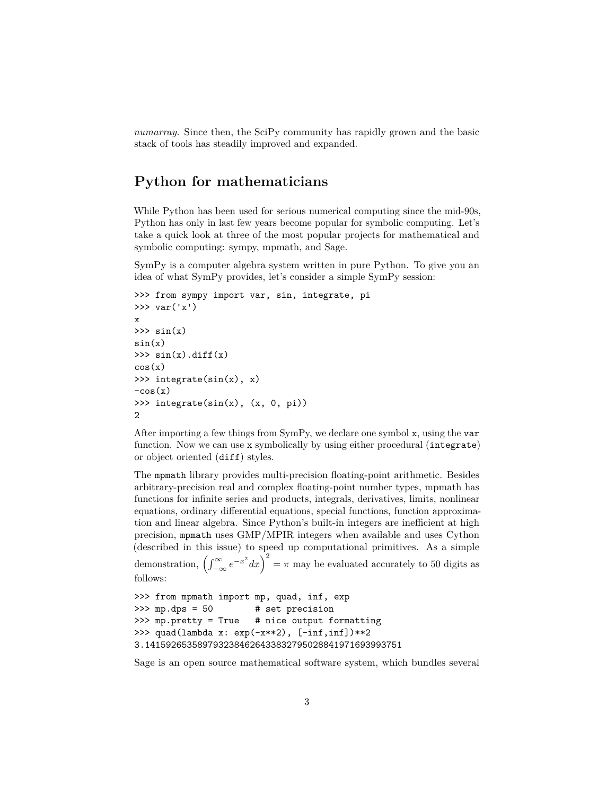*numarray*. Since then, the SciPy community has rapidly grown and the basic stack of tools has steadily improved and expanded.

## **Python for mathematicians**

While Python has been used for serious numerical computing since the mid-90s, Python has only in last few years become popular for symbolic computing. Let's take a quick look at three of the most popular projects for mathematical and symbolic computing: sympy, mpmath, and Sage.

SymPy is a computer algebra system written in pure Python. To give you an idea of what SymPy provides, let's consider a simple SymPy session:

```
>>> from sympy import var, sin, integrate, pi
\gg var('x')
x
\gg \sin(x)sin(x)\gg \sin(x).diff(x)
cos(x)>>> integrate(sin(x), x)
-cos(x)>>> integrate(sin(x), (x, 0, pi))
2
```
After importing a few things from SymPy, we declare one symbol x, using the var function. Now we can use x symbolically by using either procedural (integrate) or object oriented (diff) styles.

The mpmath library provides multi-precision floating-point arithmetic. Besides arbitrary-precision real and complex floating-point number types, mpmath has functions for infinite series and products, integrals, derivatives, limits, nonlinear equations, ordinary differential equations, special functions, function approximation and linear algebra. Since Python's built-in integers are inefficient at high precision, mpmath uses GMP/MPIR integers when available and uses Cython (described in this issue) to speed up computational primitives. As a simple demonstration,  $\left(\int_{-\infty}^{\infty} e^{-x^2} dx\right)^2 = \pi$  may be evaluated accurately to 50 digits as follows:

```
>>> from mpmath import mp, quad, inf, exp
>>> mp.dps = 50 # set precision
>>> mp.pretty = True # nice output formatting
>>> quad(lambda x: exp(-x**2), [-inf,inf])**2
3.1415926535897932384626433832795028841971693993751
```
Sage is an open source mathematical software system, which bundles several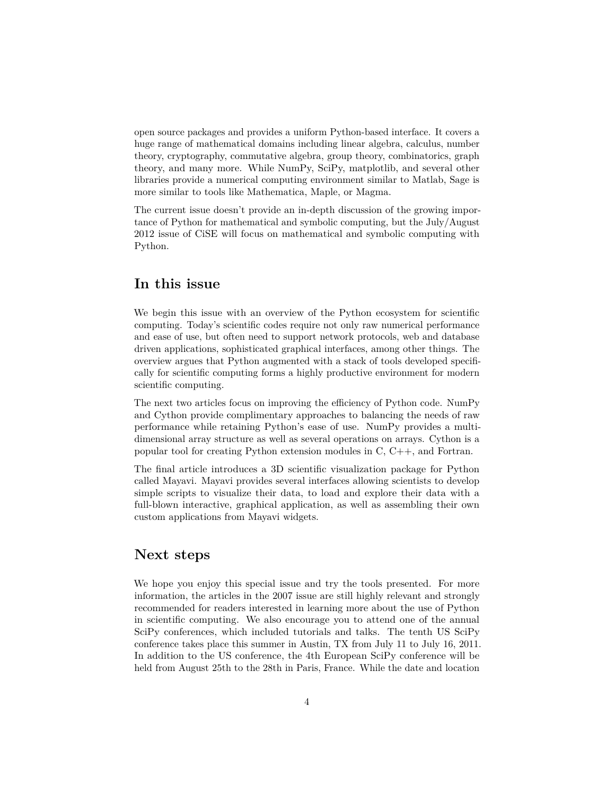open source packages and provides a uniform Python-based interface. It covers a huge range of mathematical domains including linear algebra, calculus, number theory, cryptography, commutative algebra, group theory, combinatorics, graph theory, and many more. While NumPy, SciPy, matplotlib, and several other libraries provide a numerical computing environment similar to Matlab, Sage is more similar to tools like Mathematica, Maple, or Magma.

The current issue doesn't provide an in-depth discussion of the growing importance of Python for mathematical and symbolic computing, but the July/August 2012 issue of CiSE will focus on mathematical and symbolic computing with Python.

## **In this issue**

We begin this issue with an overview of the Python ecosystem for scientific computing. Today's scientific codes require not only raw numerical performance and ease of use, but often need to support network protocols, web and database driven applications, sophisticated graphical interfaces, among other things. The overview argues that Python augmented with a stack of tools developed specifically for scientific computing forms a highly productive environment for modern scientific computing.

The next two articles focus on improving the efficiency of Python code. NumPy and Cython provide complimentary approaches to balancing the needs of raw performance while retaining Python's ease of use. NumPy provides a multidimensional array structure as well as several operations on arrays. Cython is a popular tool for creating Python extension modules in C, C++, and Fortran.

The final article introduces a 3D scientific visualization package for Python called Mayavi. Mayavi provides several interfaces allowing scientists to develop simple scripts to visualize their data, to load and explore their data with a full-blown interactive, graphical application, as well as assembling their own custom applications from Mayavi widgets.

### **Next steps**

We hope you enjoy this special issue and try the tools presented. For more information, the articles in the 2007 issue are still highly relevant and strongly recommended for readers interested in learning more about the use of Python in scientific computing. We also encourage you to attend one of the annual SciPy conferences, which included tutorials and talks. The tenth US SciPy conference takes place this summer in Austin, TX from July 11 to July 16, 2011. In addition to the US conference, the 4th European SciPy conference will be held from August 25th to the 28th in Paris, France. While the date and location